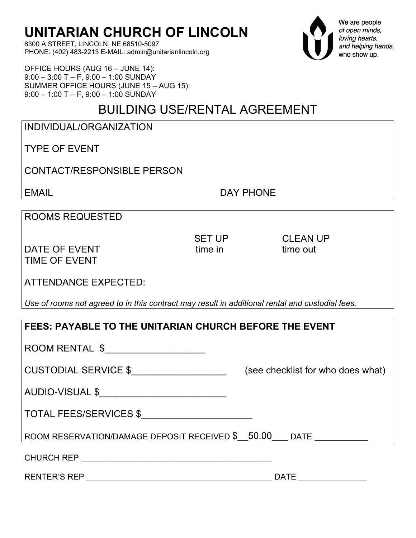6300 A STREET, LINCOLN, NE 68510-5097 PHONE: (402) 483-2213 E-MAIL: admin@unitarianlincoln.org

OFFICE HOURS (AUG 16 – JUNE 14): 9:00 – 3:00 T – F, 9:00 – 1:00 SUNDAY SUMMER OFFICE HOURS (JUNE 15 – AUG 15): 9:00 – 1:00 T – F, 9:00 – 1:00 SUNDAY

### BUILDING USE/RENTAL AGREEMENT

| INDIVIDUAL/ORGANIZATION |  |
|-------------------------|--|
|                         |  |

TYPE OF EVENT

CONTACT/RESPONSIBLE PERSON

EMAIL **EMAIL EMAIL** 

ROOMS REQUESTED

DATE OF EVENT time in time out TIME OF EVENT

SET UP CLEAN UP THE RESERVE THAT IS A RESERVE TO LEAN UP

ATTENDANCE EXPECTED:

*Use of rooms not agreed to in this contract may result in additional rental and custodial fees.*

| <b>FEES: PAYABLE TO THE UNITARIAN CHURCH BEFORE THE EVENT</b>                |  |  |
|------------------------------------------------------------------------------|--|--|
| ROOM RENTAL \$_____________________                                          |  |  |
| CUSTODIAL SERVICE \$___________________<br>(see checklist for who does what) |  |  |
| AUDIO-VISUAL \$___________________________                                   |  |  |
| TOTAL FEES/SERVICES \$                                                       |  |  |
| ROOM RESERVATION/DAMAGE DEPOSIT RECEIVED \$__50.00____ DATE ___________      |  |  |
|                                                                              |  |  |
| DATE <b>DESIGNATION</b>                                                      |  |  |



We are people of open minds, loving hearts, and helping hands, who show up.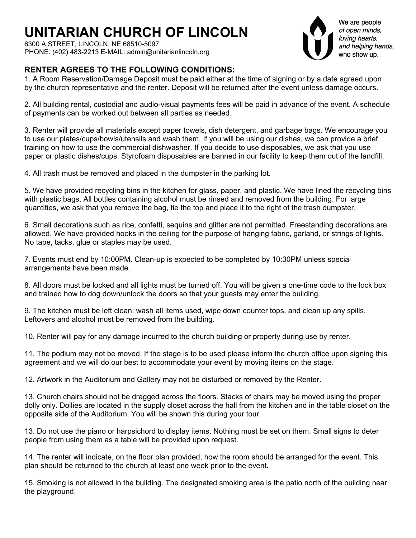6300 A STREET, LINCOLN, NE 68510-5097 PHONE: (402) 483-2213 E-MAIL: admin@unitarianlincoln.org

We are people of open minds, loving hearts, and helping hands, who show up.

### **RENTER AGREES TO THE FOLLOWING CONDITIONS:**

1. A Room Reservation/Damage Deposit must be paid either at the time of signing or by a date agreed upon by the church representative and the renter. Deposit will be returned after the event unless damage occurs.

2. All building rental, custodial and audio-visual payments fees will be paid in advance of the event. A schedule of payments can be worked out between all parties as needed.

3. Renter will provide all materials except paper towels, dish detergent, and garbage bags. We encourage you to use our plates/cups/bowls/utensils and wash them. If you will be using our dishes, we can provide a brief training on how to use the commercial dishwasher. If you decide to use disposables, we ask that you use paper or plastic dishes/cups. Styrofoam disposables are banned in our facility to keep them out of the landfill.

4. All trash must be removed and placed in the dumpster in the parking lot.

5. We have provided recycling bins in the kitchen for glass, paper, and plastic. We have lined the recycling bins with plastic bags. All bottles containing alcohol must be rinsed and removed from the building. For large quantities, we ask that you remove the bag, tie the top and place it to the right of the trash dumpster.

6. Small decorations such as rice, confetti, sequins and glitter are not permitted. Freestanding decorations are allowed. We have provided hooks in the ceiling for the purpose of hanging fabric, garland, or strings of lights. No tape, tacks, glue or staples may be used.

7. Events must end by 10:00PM. Clean-up is expected to be completed by 10:30PM unless special arrangements have been made.

8. All doors must be locked and all lights must be turned off. You will be given a one-time code to the lock box and trained how to dog down/unlock the doors so that your guests may enter the building.

9. The kitchen must be left clean: wash all items used, wipe down counter tops, and clean up any spills. Leftovers and alcohol must be removed from the building.

10. Renter will pay for any damage incurred to the church building or property during use by renter.

11. The podium may not be moved. If the stage is to be used please inform the church office upon signing this agreement and we will do our best to accommodate your event by moving items on the stage.

12. Artwork in the Auditorium and Gallery may not be disturbed or removed by the Renter.

13. Church chairs should not be dragged across the floors. Stacks of chairs may be moved using the proper dolly only. Dollies are located in the supply closet across the hall from the kitchen and in the table closet on the opposite side of the Auditorium. You will be shown this during your tour.

13. Do not use the piano or harpsichord to display items. Nothing must be set on them. Small signs to deter people from using them as a table will be provided upon request.

14. The renter will indicate, on the floor plan provided, how the room should be arranged for the event. This plan should be returned to the church at least one week prior to the event.

15. Smoking is not allowed in the building. The designated smoking area is the patio north of the building near the playground.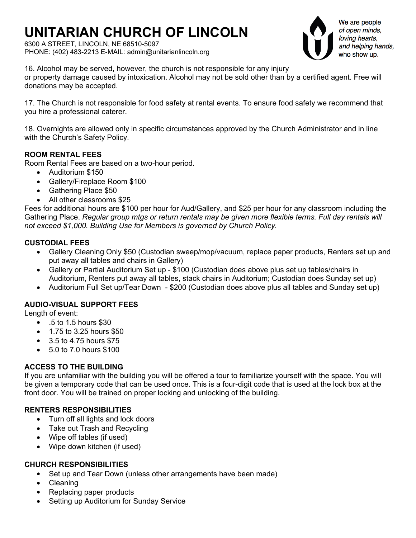6300 A STREET, LINCOLN, NE 68510-5097 PHONE: (402) 483-2213 E-MAIL: admin@unitarianlincoln.org



We are people of open minds, loving hearts, and helping hands, who show up.

16. Alcohol may be served, however, the church is not responsible for any injury or property damage caused by intoxication. Alcohol may not be sold other than by a certified agent. Free will donations may be accepted.

17. The Church is not responsible for food safety at rental events. To ensure food safety we recommend that you hire a professional caterer.

18. Overnights are allowed only in specific circumstances approved by the Church Administrator and in line with the Church's Safety Policy.

#### **ROOM RENTAL FEES**

Room Rental Fees are based on a two-hour period.

- Auditorium \$150
- Gallery/Fireplace Room \$100
- Gathering Place \$50
- All other classrooms \$25

Fees for additional hours are \$100 per hour for Aud/Gallery, and \$25 per hour for any classroom including the Gathering Place. *Regular group mtgs or return rentals may be given more flexible terms. Full day rentals will not exceed \$1,000. Building Use for Members is governed by Church Policy.* 

#### **CUSTODIAL FEES**

- Gallery Cleaning Only \$50 (Custodian sweep/mop/vacuum, replace paper products, Renters set up and put away all tables and chairs in Gallery)
- Gallery or Partial Auditorium Set up \$100 (Custodian does above plus set up tables/chairs in Auditorium, Renters put away all tables, stack chairs in Auditorium; Custodian does Sunday set up)
- Auditorium Full Set up/Tear Down \$200 (Custodian does above plus all tables and Sunday set up)

#### **AUDIO-VISUAL SUPPORT FEES**

Length of event:

- .5 to 1.5 hours \$30
- 1.75 to 3.25 hours \$50
- 3.5 to 4.75 hours \$75
- 5.0 to 7.0 hours \$100

#### **ACCESS TO THE BUILDING**

If you are unfamiliar with the building you will be offered a tour to familiarize yourself with the space. You will be given a temporary code that can be used once. This is a four-digit code that is used at the lock box at the front door. You will be trained on proper locking and unlocking of the building.

#### **RENTERS RESPONSIBILITIES**

- Turn off all lights and lock doors
- Take out Trash and Recycling
- Wipe off tables (if used)
- Wipe down kitchen (if used)

#### **CHURCH RESPONSIBILITIES**

- Set up and Tear Down (unless other arrangements have been made)
- Cleaning
- Replacing paper products
- Setting up Auditorium for Sunday Service